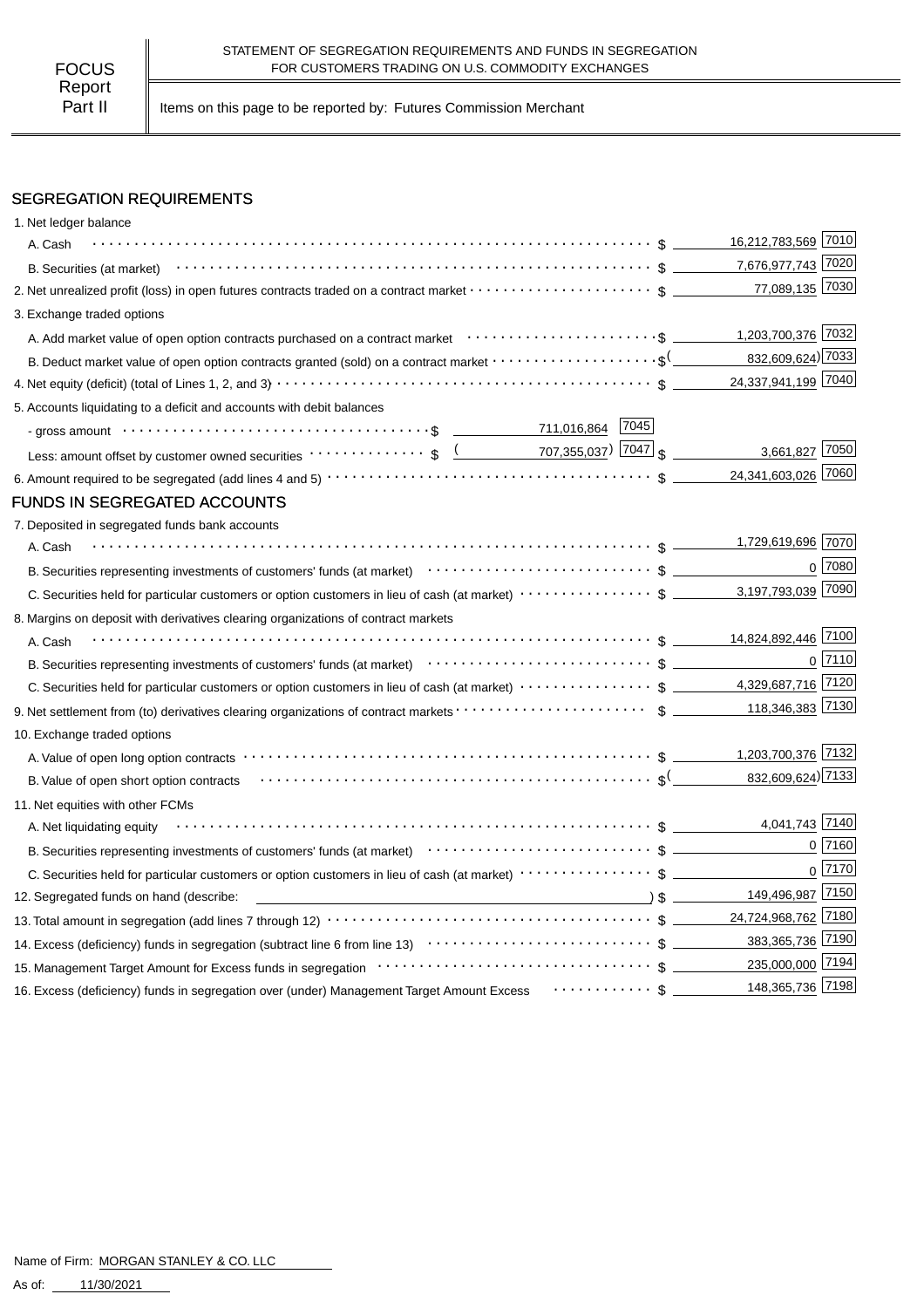Part II | Items on this page to be reported by: Futures Commission Merchant

# SEGREGATION REQUIREMENTS

| 1. Net ledger balance                                                                                                                                                                                                                                                |                     |                |
|----------------------------------------------------------------------------------------------------------------------------------------------------------------------------------------------------------------------------------------------------------------------|---------------------|----------------|
| A. Cash                                                                                                                                                                                                                                                              | 16,212,783,569 7010 |                |
|                                                                                                                                                                                                                                                                      | 7,676,977,743 7020  |                |
| 2. Net unrealized profit (loss) in open futures contracts traded on a contract market $\cdots\cdots\cdots\cdots\cdots\cdots$ \$                                                                                                                                      | 77,089,135 7030     |                |
| 3. Exchange traded options                                                                                                                                                                                                                                           |                     |                |
|                                                                                                                                                                                                                                                                      | 1,203,700,376 7032  |                |
| B. Deduct market value of open option contracts granted (sold) on a contract market $\cdots\cdots\cdots\cdots\cdots\cdots$                                                                                                                                           | 832,609,624) 7033   |                |
|                                                                                                                                                                                                                                                                      | 24,337,941,199 7040 |                |
| 5. Accounts liquidating to a deficit and accounts with debit balances                                                                                                                                                                                                |                     |                |
| - gross amount \bit \contract \contract \contract \contract \contract \contract \contract \contract \contract \contract \contract \contract \contract \contract \contract \contract \contract \contract \contract \contract \c                                       |                     |                |
| Less: amount offset by customer owned securities $\cdots \cdots \cdots$ ; $\frac{(1.000)(1.0000)(1.0000)(1.0000)(1.0000)(1.0000)(1.0000)(1.0000)(1.0000)(1.0000)(1.0000)(1.0000)(1.0000)(1.0000)(1.0000)(1.0000)(1.0000)(1.0000)(1.0000)(1.0000)(1.0000)(1.0000)(1.$ | 3,661,827 7050      |                |
|                                                                                                                                                                                                                                                                      | 24,341,603,026 7060 |                |
| FUNDS IN SEGREGATED ACCOUNTS                                                                                                                                                                                                                                         |                     |                |
| 7. Deposited in segregated funds bank accounts                                                                                                                                                                                                                       |                     |                |
| A. Cash                                                                                                                                                                                                                                                              | 1,729,619,696 7070  |                |
| B. Securities representing investments of customers' funds (at market) (at market) (b) content to securities representing investments of customers' funds (at market)                                                                                                |                     | $0^{27080}$    |
|                                                                                                                                                                                                                                                                      | 3,197,793,039 7090  |                |
| 8. Margins on deposit with derivatives clearing organizations of contract markets                                                                                                                                                                                    |                     |                |
| A. Cash                                                                                                                                                                                                                                                              | 14,824,892,446 7100 |                |
|                                                                                                                                                                                                                                                                      |                     | $0\sqrt{7110}$ |
| C. Securities held for particular customers or option customers in lieu of cash (at market) $\cdots \cdots \cdots \cdots$ \$ _________ 4,329,687,716 7120                                                                                                            |                     |                |
|                                                                                                                                                                                                                                                                      | 118,346,383 7130    |                |
| 10. Exchange traded options                                                                                                                                                                                                                                          |                     |                |
|                                                                                                                                                                                                                                                                      | 1,203,700,376 7132  |                |
| B. Value of open short option contracts $\cdots \cdots \cdots \cdots \cdots \cdots \cdots \cdots \cdots \cdots \cdots \cdots \cdots$                                                                                                                                 | 832,609,624) 7133   |                |
| 11. Net equities with other FCMs                                                                                                                                                                                                                                     |                     |                |
| A. Net liquidating equity                                                                                                                                                                                                                                            | 4,041,743 7140      |                |
|                                                                                                                                                                                                                                                                      |                     | 0 7160         |
|                                                                                                                                                                                                                                                                      |                     | $0$ 7170       |
| 12. Segregated funds on hand (describe:                                                                                                                                                                                                                              | 149,496,987 7150    |                |
|                                                                                                                                                                                                                                                                      | 24,724,968,762 7180 |                |
|                                                                                                                                                                                                                                                                      | 383,365,736 7190    |                |
|                                                                                                                                                                                                                                                                      | 235,000,000 7194    |                |
| 16. Excess (deficiency) funds in segregation over (under) Management Target Amount Excess  \$                                                                                                                                                                        | 148,365,736 7198    |                |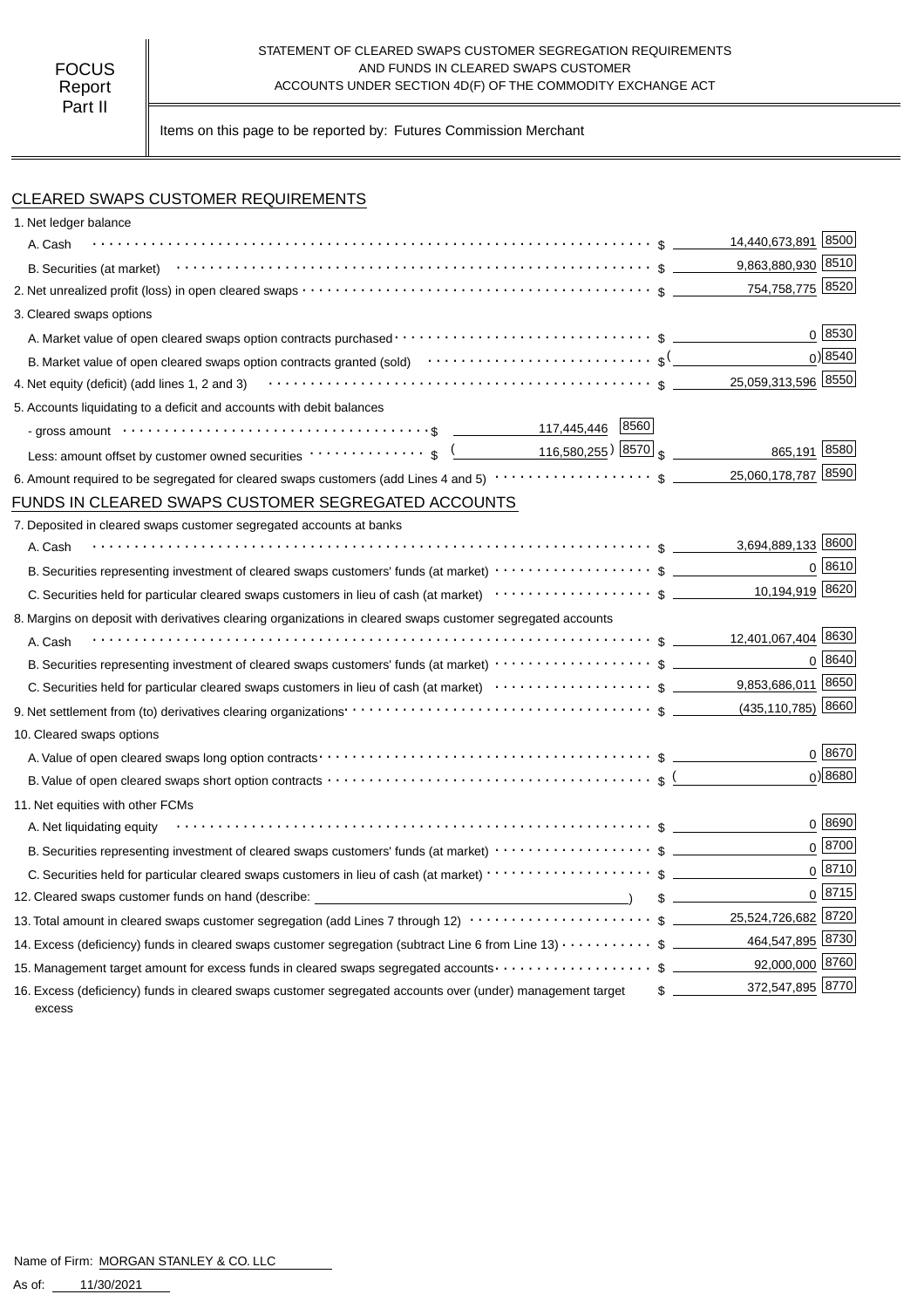#### STATEMENT OF CLEARED SWAPS CUSTOMER SEGREGATION REQUIREMENTS AND FUNDS IN CLEARED SWAPS CUSTOMER ACCOUNTS UNDER SECTION 4D(F) OF THE COMMODITY EXCHANGE ACT

Items on this page to be reported by: Futures Commission Merchant

# CLEARED SWAPS CUSTOMER REQUIREMENTS

| 1. Net ledger balance                                                                                                                                                        |                            |
|------------------------------------------------------------------------------------------------------------------------------------------------------------------------------|----------------------------|
| A. Cash                                                                                                                                                                      | 14,440,673,891 8500        |
|                                                                                                                                                                              | 9,863,880,930 8510         |
|                                                                                                                                                                              | 754,758,775 8520           |
| 3. Cleared swaps options                                                                                                                                                     |                            |
|                                                                                                                                                                              | 0 8530                     |
| B. Market value of open cleared swaps option contracts granted (sold) $\cdots \cdots \cdots \cdots \cdots \cdots \cdots$ s $\frac{($                                         | $0$ ) 8540                 |
| 4. Net equity (deficit) (add lines 1, 2 and 3) $\cdots$ $\cdots$ $\cdots$ $\cdots$ $\cdots$ $\cdots$ $\cdots$ $\cdots$ $\cdots$ $\cdots$ $\cdots$ $\cdots$ $\cdots$ $\cdots$ | 25,059,313,596 8550        |
| 5. Accounts liquidating to a deficit and accounts with debit balances                                                                                                        |                            |
| 117,445,446 8560                                                                                                                                                             |                            |
| Less: amount offset by customer owned securities $\cdots \cdots \cdots$ ; $\frac{($ 116,580,255) 8570 $\frac{1}{3}$                                                          | 865,191 8580               |
|                                                                                                                                                                              |                            |
| FUNDS IN CLEARED SWAPS CUSTOMER SEGREGATED ACCOUNTS                                                                                                                          |                            |
| 7. Deposited in cleared swaps customer segregated accounts at banks                                                                                                          |                            |
| A. Cash                                                                                                                                                                      | 3,694,889,133 8600         |
|                                                                                                                                                                              | $0^{8610}$                 |
|                                                                                                                                                                              | 10,194,919 8620            |
| 8. Margins on deposit with derivatives clearing organizations in cleared swaps customer segregated accounts                                                                  |                            |
| A. Cash                                                                                                                                                                      |                            |
|                                                                                                                                                                              | 0 8640                     |
|                                                                                                                                                                              |                            |
|                                                                                                                                                                              |                            |
| 10. Cleared swaps options                                                                                                                                                    |                            |
|                                                                                                                                                                              | $0^{8670}$                 |
| B. Value of open cleared swaps short option contracts $\cdots \cdots \cdots \cdots \cdots \cdots \cdots \cdots \cdots \cdots \cdots$ s (                                     | $0$ <sup>8680</sup>        |
| 11. Net equities with other FCMs                                                                                                                                             |                            |
| A. Net liquidating equity                                                                                                                                                    | 0   8690                   |
|                                                                                                                                                                              | $0^{8700}$                 |
| C. Securities held for particular cleared swaps customers in lieu of cash (at market) · · · · · · · · · · · · · · · · · · \$                                                 | $0^{8710}$                 |
| 12. Cleared swaps customer funds on hand (describe: _____________________________                                                                                            | 0 8715<br>$\sim$           |
| 13. Total amount in cleared swaps customer segregation (add Lines 7 through 12) $\cdots\cdots\cdots\cdots\cdots\cdots\cdots\$ \$ ________ 25,524,726,682 8720                |                            |
| 14. Excess (deficiency) funds in cleared swaps customer segregation (subtract Line 6 from Line 13) \$                                                                        | 464,547,895 8730           |
| 15. Management target amount for excess funds in cleared swaps segregated accounts $\cdots\cdots\cdots\cdots\cdots\quad$ \$ ___________92,000,000 8760                       |                            |
| 16. Excess (deficiency) funds in cleared swaps customer segregated accounts over (under) management target<br>excess                                                         | 372,547,895 8770<br>$\sim$ |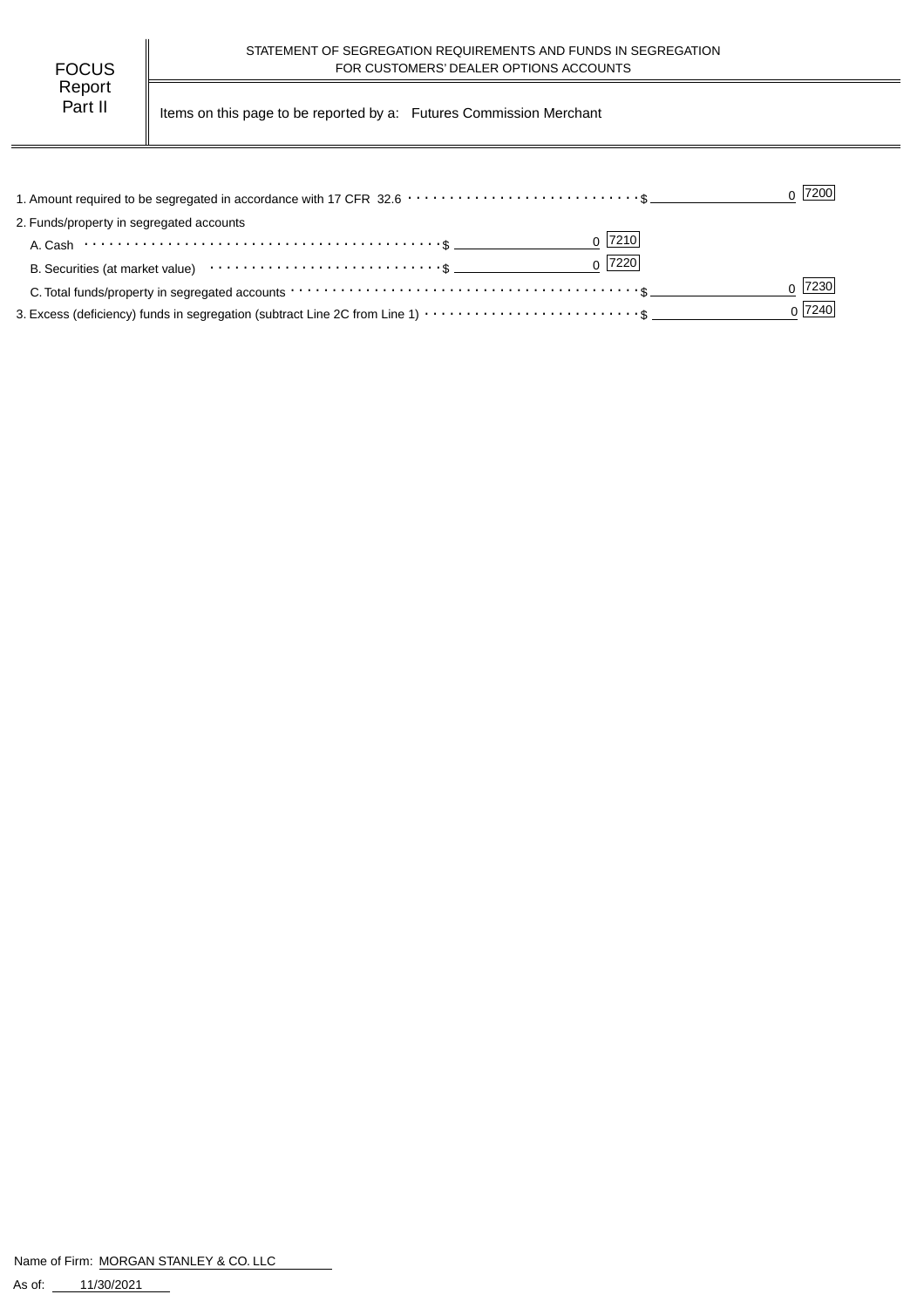Part II | Items on this page to be reported by a: Futures Commission Merchant

|                                                                                                                | $0$  7200 |
|----------------------------------------------------------------------------------------------------------------|-----------|
| 2. Funds/property in segregated accounts                                                                       |           |
| $0$  7210                                                                                                      |           |
| $0$  7220 <br>B. Securities (at market value) $\cdots \cdots \cdots \cdots \cdots \cdots \cdots \cdots \cdots$ |           |
|                                                                                                                | 7230      |
|                                                                                                                | 0 7240    |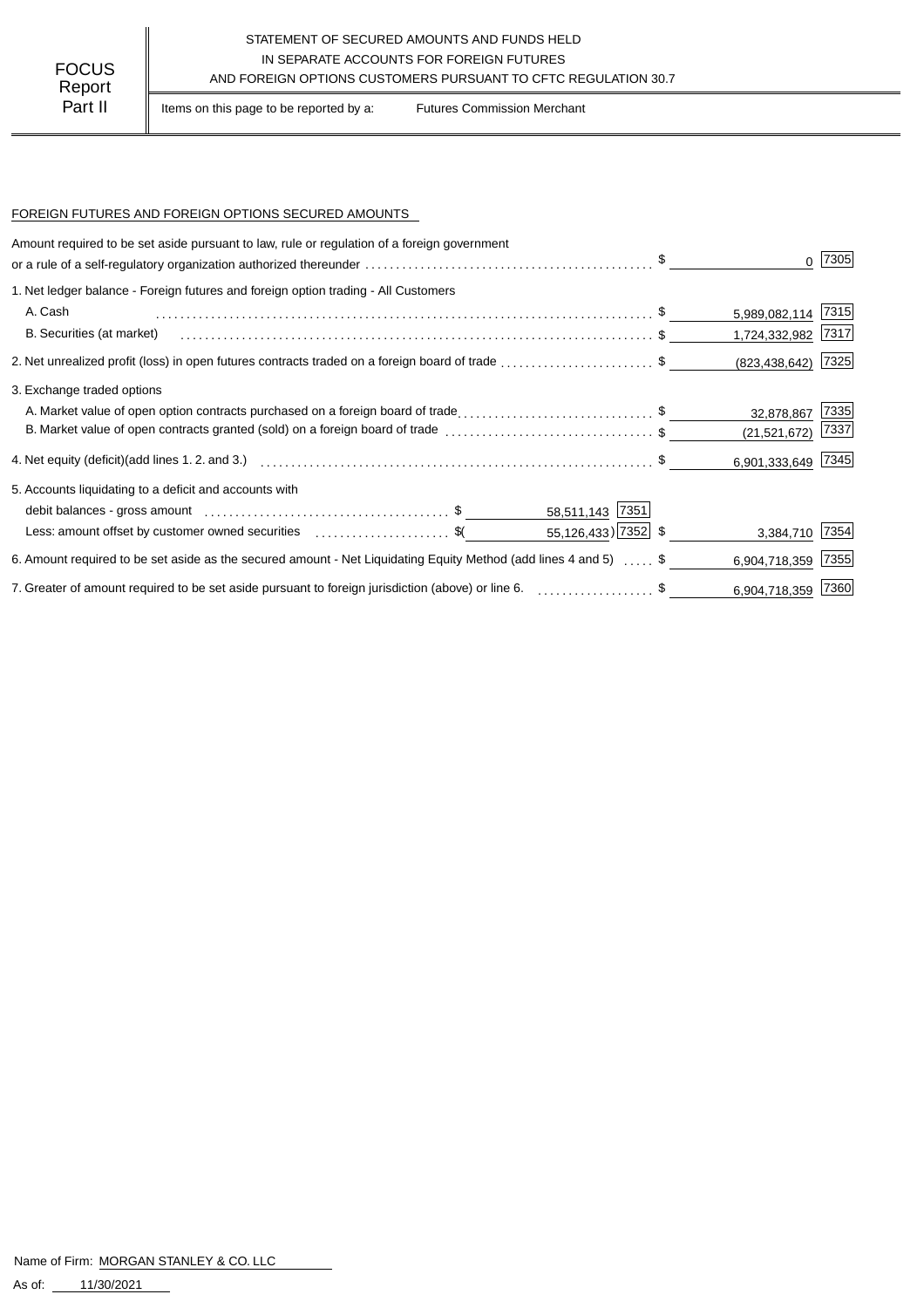## STATEMENT OF SECURED AMOUNTS AND FUNDS HELD IN SEPARATE ACCOUNTS FOR FOREIGN FUTURES AND FOREIGN OPTIONS CUSTOMERS PURSUANT TO CFTC REGULATION 30.7

Part II | Items on this page to be reported by a: Futures Commission Merchant

### FOREIGN FUTURES AND FOREIGN OPTIONS SECURED AMOUNTS

| Amount required to be set aside pursuant to law, rule or regulation of a foreign government                      |                        |      |
|------------------------------------------------------------------------------------------------------------------|------------------------|------|
|                                                                                                                  |                        | 7305 |
| 1. Net ledger balance - Foreign futures and foreign option trading - All Customers                               |                        |      |
| A. Cash                                                                                                          | 5,989,082,114 7315     |      |
| B. Securities (at market)                                                                                        | 1,724,332,982 7317     |      |
| 2. Net unrealized profit (loss) in open futures contracts traded on a foreign board of trade \$                  | $(823, 438, 642)$ 7325 |      |
| 3. Exchange traded options                                                                                       |                        |      |
| A. Market value of open option contracts purchased on a foreign board of trade\$                                 | 32,878,867             | 7335 |
| B. Market value of open contracts granted (sold) on a foreign board of trade \$                                  | (21, 521, 672)         | 7337 |
|                                                                                                                  | 6,901,333,649 7345     |      |
| 5. Accounts liquidating to a deficit and accounts with                                                           |                        |      |
| 58,511,143 7351                                                                                                  |                        |      |
| $55,126,433$ ) 7352 \$<br>Less: amount offset by customer owned securities \$ (\$                                | 3,384,710 7354         |      |
| 6. Amount required to be set aside as the secured amount - Net Liquidating Equity Method (add lines 4 and 5)  \$ | 6,904,718,359 7355     |      |
| 7. Greater of amount required to be set aside pursuant to foreign jurisdiction (above) or line 6. \$             | 6,904,718,359 7360     |      |